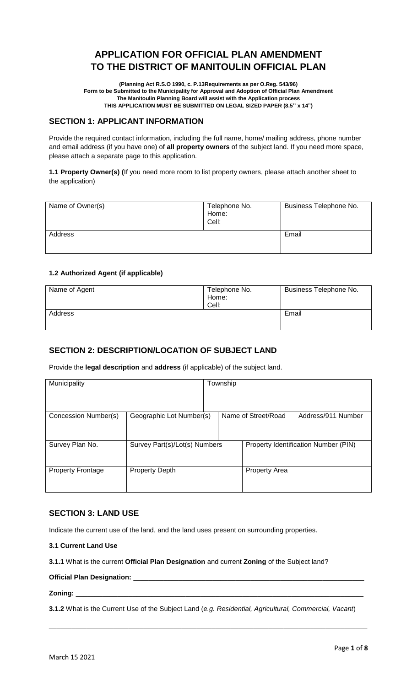# **APPLICATION FOR OFFICIAL PLAN AMENDMENT TO THE DISTRICT OF MANITOULIN OFFICIAL PLAN**

**(Planning Act R.S.O 1990, c. P.13Requirements as per O.Reg. 543/96) Form to be Submitted to the Municipality for Approval and Adoption of Official Plan Amendment The Manitoulin Planning Board will assist with the Application process THIS APPLICATION MUST BE SUBMITTED ON LEGAL SIZED PAPER (8.5'' x 14")**

## **SECTION 1: APPLICANT INFORMATION**

Provide the required contact information, including the full name, home/ mailing address, phone number and email address (if you have one) of **all property owners** of the subject land. If you need more space, please attach a separate page to this application.

**1.1 Property Owner(s) (**If you need more room to list property owners, please attach another sheet to the application)

| Name of Owner(s) | Telephone No.<br>Home:<br>Cell: | Business Telephone No. |
|------------------|---------------------------------|------------------------|
| Address          |                                 | Email                  |

### **1.2 Authorized Agent (if applicable)**

| Name of Agent | Telephone No.<br>Home:<br>Cell: | Business Telephone No. |
|---------------|---------------------------------|------------------------|
| Address       |                                 | Email                  |

### **SECTION 2: DESCRIPTION/LOCATION OF SUBJECT LAND**

Provide the **legal description** and **address** (if applicable) of the subject land.

| Municipality             |                               | Township |                      |                                      |
|--------------------------|-------------------------------|----------|----------------------|--------------------------------------|
|                          |                               |          |                      |                                      |
| Concession Number(s)     | Geographic Lot Number(s)      |          | Name of Street/Road  | Address/911 Number                   |
|                          |                               |          |                      |                                      |
| Survey Plan No.          | Survey Part(s)/Lot(s) Numbers |          |                      | Property Identification Number (PIN) |
|                          |                               |          |                      |                                      |
| <b>Property Frontage</b> | <b>Property Depth</b>         |          | <b>Property Area</b> |                                      |
|                          |                               |          |                      |                                      |

## **SECTION 3: LAND USE**

Indicate the current use of the land, and the land uses present on surrounding properties.

### **3.1 Current Land Use**

**3.1.1** What is the current **Official Plan Designation** and current **Zoning** of the Subject land?

### **Official Plan Designation:**

**Zoning:** \_\_\_\_\_\_\_\_\_\_\_\_\_\_\_\_\_\_\_\_\_\_\_\_\_\_\_\_\_\_\_\_\_\_\_\_\_\_\_\_\_\_\_\_\_\_\_\_\_\_\_\_\_\_\_\_\_\_\_\_\_\_\_\_\_\_\_\_\_\_\_\_\_\_\_\_

**3.1.2** What is the Current Use of the Subject Land (*e.g. Residential, Agricultural, Commercial, Vacant*)

\_\_\_\_\_\_\_\_\_\_\_\_\_\_\_\_\_\_\_\_\_\_\_\_\_\_\_\_\_\_\_\_\_\_\_\_\_\_\_\_\_\_\_\_\_\_\_\_\_\_\_\_\_\_\_\_\_\_\_\_\_\_\_\_\_\_\_\_\_\_\_\_\_\_\_\_\_\_\_\_\_\_\_\_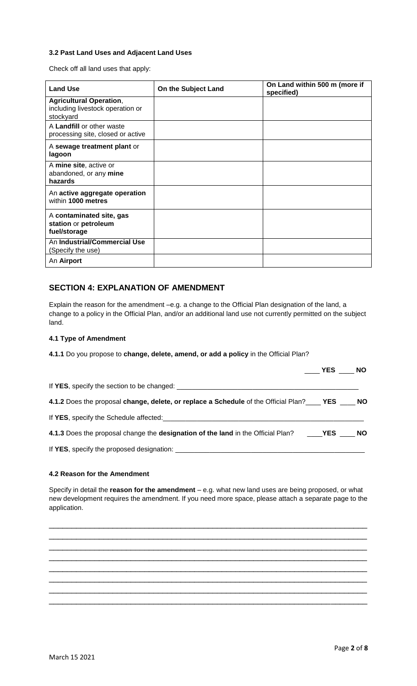### **3.2 Past Land Uses and Adjacent Land Uses**

Check off all land uses that apply:

| <b>Land Use</b>                                                                 | On the Subject Land | On Land within 500 m (more if<br>specified) |
|---------------------------------------------------------------------------------|---------------------|---------------------------------------------|
| <b>Agricultural Operation,</b><br>including livestock operation or<br>stockyard |                     |                                             |
| A Landfill or other waste<br>processing site, closed or active                  |                     |                                             |
| A sewage treatment plant or<br>lagoon                                           |                     |                                             |
| A mine site, active or<br>abandoned, or any mine<br>hazards                     |                     |                                             |
| An active aggregate operation<br>within 1000 metres                             |                     |                                             |
| A contaminated site, gas<br>station or petroleum<br>fuel/storage                |                     |                                             |
| An Industrial/Commercial Use<br>(Specify the use)                               |                     |                                             |
| An Airport                                                                      |                     |                                             |

## **SECTION 4: EXPLANATION OF AMENDMENT**

Explain the reason for the amendment –e.g. a change to the Official Plan designation of the land, a change to a policy in the Official Plan, and/or an additional land use not currently permitted on the subject land.

### **4.1 Type of Amendment**

**4.1.1** Do you propose to **change, delete, amend, or add a policy** in the Official Plan?

|                                                                                                       | YES NO |  |
|-------------------------------------------------------------------------------------------------------|--------|--|
|                                                                                                       |        |  |
| 4.1.2 Does the proposal change, delete, or replace a Schedule of the Official Plan?_____ YES _____ NO |        |  |
|                                                                                                       |        |  |
|                                                                                                       |        |  |
|                                                                                                       |        |  |

### **4.2 Reason for the Amendment**

Specify in detail the **reason for the amendment** – e.g. what new land uses are being proposed, or what new development requires the amendment. If you need more space, please attach a separate page to the application.

\_\_\_\_\_\_\_\_\_\_\_\_\_\_\_\_\_\_\_\_\_\_\_\_\_\_\_\_\_\_\_\_\_\_\_\_\_\_\_\_\_\_\_\_\_\_\_\_\_\_\_\_\_\_\_\_\_\_\_\_\_\_\_\_\_\_\_\_\_\_ \_\_\_\_\_\_\_\_\_\_\_\_\_\_\_\_\_\_\_\_\_\_\_\_\_\_\_\_\_\_\_\_\_\_\_\_\_\_\_\_\_\_\_\_\_\_\_\_\_\_\_\_\_\_\_\_\_\_\_\_\_\_\_\_\_\_\_\_\_\_ \_\_\_\_\_\_\_\_\_\_\_\_\_\_\_\_\_\_\_\_\_\_\_\_\_\_\_\_\_\_\_\_\_\_\_\_\_\_\_\_\_\_\_\_\_\_\_\_\_\_\_\_\_\_\_\_\_\_\_\_\_\_\_\_\_\_\_\_\_\_ \_\_\_\_\_\_\_\_\_\_\_\_\_\_\_\_\_\_\_\_\_\_\_\_\_\_\_\_\_\_\_\_\_\_\_\_\_\_\_\_\_\_\_\_\_\_\_\_\_\_\_\_\_\_\_\_\_\_\_\_\_\_\_\_\_\_\_\_\_\_ \_\_\_\_\_\_\_\_\_\_\_\_\_\_\_\_\_\_\_\_\_\_\_\_\_\_\_\_\_\_\_\_\_\_\_\_\_\_\_\_\_\_\_\_\_\_\_\_\_\_\_\_\_\_\_\_\_\_\_\_\_\_\_\_\_\_\_\_\_\_ \_\_\_\_\_\_\_\_\_\_\_\_\_\_\_\_\_\_\_\_\_\_\_\_\_\_\_\_\_\_\_\_\_\_\_\_\_\_\_\_\_\_\_\_\_\_\_\_\_\_\_\_\_\_\_\_\_\_\_\_\_\_\_\_\_\_\_\_\_\_ \_\_\_\_\_\_\_\_\_\_\_\_\_\_\_\_\_\_\_\_\_\_\_\_\_\_\_\_\_\_\_\_\_\_\_\_\_\_\_\_\_\_\_\_\_\_\_\_\_\_\_\_\_\_\_\_\_\_\_\_\_\_\_\_\_\_\_\_\_\_ \_\_\_\_\_\_\_\_\_\_\_\_\_\_\_\_\_\_\_\_\_\_\_\_\_\_\_\_\_\_\_\_\_\_\_\_\_\_\_\_\_\_\_\_\_\_\_\_\_\_\_\_\_\_\_\_\_\_\_\_\_\_\_\_\_\_\_\_\_\_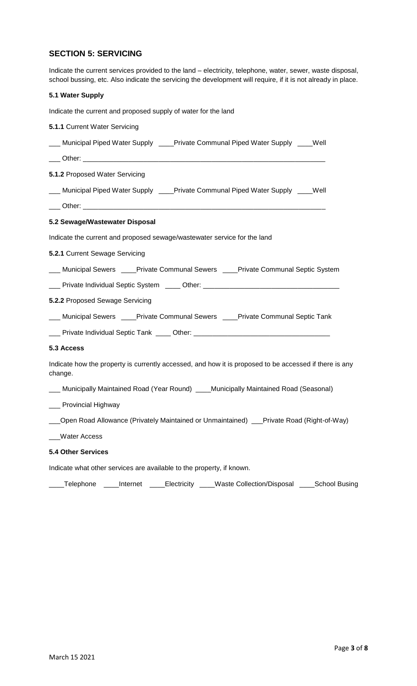## **SECTION 5: SERVICING**

Indicate the current services provided to the land – electricity, telephone, water, sewer, waste disposal, school bussing, etc. Also indicate the servicing the development will require, if it is not already in place.

| 5.1 Water Supply                                                                                                  |
|-------------------------------------------------------------------------------------------------------------------|
| Indicate the current and proposed supply of water for the land                                                    |
| 5.1.1 Current Water Servicing                                                                                     |
| ___ Municipal Piped Water Supply ____Private Communal Piped Water Supply ____Well                                 |
|                                                                                                                   |
| 5.1.2 Proposed Water Servicing                                                                                    |
| Municipal Piped Water Supply ____Private Communal Piped Water Supply ____Well                                     |
|                                                                                                                   |
| 5.2 Sewage/Wastewater Disposal                                                                                    |
| Indicate the current and proposed sewage/wastewater service for the land                                          |
| 5.2.1 Current Sewage Servicing                                                                                    |
| <b>Municipal Sewers Lace Private Communal Sewers Lace Private Communal Septic System</b>                          |
| ___ Private Individual Septic System _____ Other: ______________________________                                  |
| 5.2.2 Proposed Sewage Servicing                                                                                   |
| ___ Municipal Sewers ____Private Communal Sewers ____Private Communal Septic Tank                                 |
|                                                                                                                   |
| 5.3 Access                                                                                                        |
| Indicate how the property is currently accessed, and how it is proposed to be accessed if there is any<br>change. |
| Municipally Maintained Road (Year Round) ____Municipally Maintained Road (Seasonal)                               |
| Provincial Highway                                                                                                |
| Open Road Allowance (Privately Maintained or Unmaintained) __Private Road (Right-of-Way)                          |
| <b>Water Access</b>                                                                                               |
| <b>5.4 Other Services</b>                                                                                         |

Indicate what other services are available to the property, if known.

\_\_\_\_Telephone \_\_\_\_Internet \_\_\_\_Electricity \_\_\_\_Waste Collection/Disposal \_\_\_\_School Busing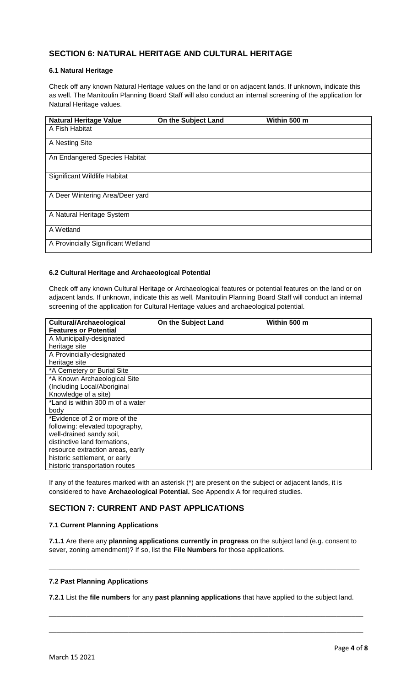## **SECTION 6: NATURAL HERITAGE AND CULTURAL HERITAGE**

### **6.1 Natural Heritage**

Check off any known Natural Heritage values on the land or on adjacent lands. If unknown, indicate this as well. The Manitoulin Planning Board Staff will also conduct an internal screening of the application for Natural Heritage values.

| <b>Natural Heritage Value</b>      | On the Subject Land | Within 500 m |
|------------------------------------|---------------------|--------------|
| A Fish Habitat                     |                     |              |
| A Nesting Site                     |                     |              |
| An Endangered Species Habitat      |                     |              |
| Significant Wildlife Habitat       |                     |              |
| A Deer Wintering Area/Deer yard    |                     |              |
| A Natural Heritage System          |                     |              |
| A Wetland                          |                     |              |
| A Provincially Significant Wetland |                     |              |

### **6.2 Cultural Heritage and Archaeological Potential**

Check off any known Cultural Heritage or Archaeological features or potential features on the land or on adjacent lands. If unknown, indicate this as well. Manitoulin Planning Board Staff will conduct an internal screening of the application for Cultural Heritage values and archaeological potential.

| <b>Cultural/Archaeological</b><br><b>Features or Potential</b> | On the Subject Land | Within 500 m |
|----------------------------------------------------------------|---------------------|--------------|
| A Municipally-designated                                       |                     |              |
| heritage site                                                  |                     |              |
| A Provincially-designated                                      |                     |              |
| heritage site                                                  |                     |              |
| *A Cemetery or Burial Site                                     |                     |              |
| *A Known Archaeological Site                                   |                     |              |
| (Including Local/Aboriginal                                    |                     |              |
| Knowledge of a site)                                           |                     |              |
| *Land is within 300 m of a water                               |                     |              |
| body                                                           |                     |              |
| *Evidence of 2 or more of the                                  |                     |              |
| following: elevated topography,                                |                     |              |
| well-drained sandy soil,                                       |                     |              |
| distinctive land formations,                                   |                     |              |
| resource extraction areas, early                               |                     |              |
| historic settlement, or early                                  |                     |              |
| historic transportation routes                                 |                     |              |

If any of the features marked with an asterisk (\*) are present on the subject or adjacent lands, it is considered to have **Archaeological Potential.** See Appendix A for required studies.

## **SECTION 7: CURRENT AND PAST APPLICATIONS**

### **7.1 Current Planning Applications**

**7.1.1** Are there any **planning applications currently in progress** on the subject land (e.g. consent to sever, zoning amendment)? If so, list the **File Numbers** for those applications.

\_\_\_\_\_\_\_\_\_\_\_\_\_\_\_\_\_\_\_\_\_\_\_\_\_\_\_\_\_\_\_\_\_\_\_\_\_\_\_\_\_\_\_\_\_\_\_\_\_\_\_\_\_\_\_\_\_\_\_\_\_\_\_\_\_\_\_\_\_\_\_\_\_\_\_\_\_\_\_\_\_\_

### **7.2 Past Planning Applications**

**7.2.1** List the **file numbers** for any **past planning applications** that have applied to the subject land.

\_\_\_\_\_\_\_\_\_\_\_\_\_\_\_\_\_\_\_\_\_\_\_\_\_\_\_\_\_\_\_\_\_\_\_\_\_\_\_\_\_\_\_\_\_\_\_\_\_\_\_\_\_\_\_\_\_\_\_\_\_\_\_\_\_\_\_\_\_\_\_\_\_\_\_\_\_\_\_\_\_\_\_

\_\_\_\_\_\_\_\_\_\_\_\_\_\_\_\_\_\_\_\_\_\_\_\_\_\_\_\_\_\_\_\_\_\_\_\_\_\_\_\_\_\_\_\_\_\_\_\_\_\_\_\_\_\_\_\_\_\_\_\_\_\_\_\_\_\_\_\_\_\_\_\_\_\_\_\_\_\_\_\_\_\_\_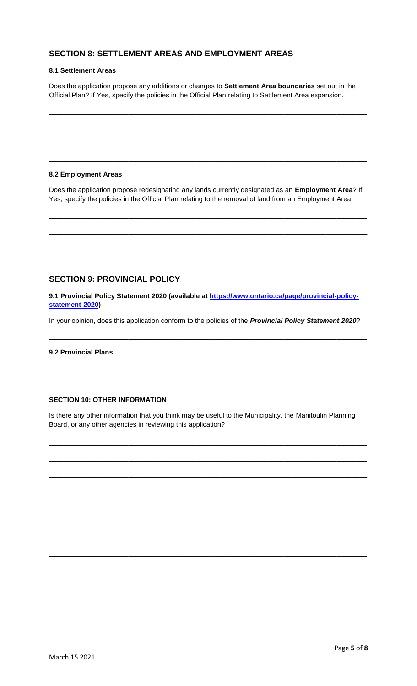## **SECTION 8: SETTLEMENT AREAS AND EMPLOYMENT AREAS**

#### **8.1 Settlement Areas**

Does the application propose any additions or changes to **Settlement Area boundaries** set out in the Official Plan? If Yes, specify the policies in the Official Plan relating to Settlement Area expansion.

\_\_\_\_\_\_\_\_\_\_\_\_\_\_\_\_\_\_\_\_\_\_\_\_\_\_\_\_\_\_\_\_\_\_\_\_\_\_\_\_\_\_\_\_\_\_\_\_\_\_\_\_\_\_\_\_\_\_\_\_\_\_\_\_\_\_\_\_\_\_\_\_\_\_\_\_\_\_\_\_\_\_\_\_

\_\_\_\_\_\_\_\_\_\_\_\_\_\_\_\_\_\_\_\_\_\_\_\_\_\_\_\_\_\_\_\_\_\_\_\_\_\_\_\_\_\_\_\_\_\_\_\_\_\_\_\_\_\_\_\_\_\_\_\_\_\_\_\_\_\_\_\_\_\_\_\_\_\_\_\_\_\_\_\_\_\_\_\_

\_\_\_\_\_\_\_\_\_\_\_\_\_\_\_\_\_\_\_\_\_\_\_\_\_\_\_\_\_\_\_\_\_\_\_\_\_\_\_\_\_\_\_\_\_\_\_\_\_\_\_\_\_\_\_\_\_\_\_\_\_\_\_\_\_\_\_\_\_\_\_\_\_\_\_\_\_\_\_\_\_\_\_\_

\_\_\_\_\_\_\_\_\_\_\_\_\_\_\_\_\_\_\_\_\_\_\_\_\_\_\_\_\_\_\_\_\_\_\_\_\_\_\_\_\_\_\_\_\_\_\_\_\_\_\_\_\_\_\_\_\_\_\_\_\_\_\_\_\_\_\_\_\_\_\_\_\_\_\_\_\_\_\_\_\_\_\_\_

### **8.2 Employment Areas**

Does the application propose redesignating any lands currently designated as an **Employment Area**? If Yes, specify the policies in the Official Plan relating to the removal of land from an Employment Area.

\_\_\_\_\_\_\_\_\_\_\_\_\_\_\_\_\_\_\_\_\_\_\_\_\_\_\_\_\_\_\_\_\_\_\_\_\_\_\_\_\_\_\_\_\_\_\_\_\_\_\_\_\_\_\_\_\_\_\_\_\_\_\_\_\_\_\_\_\_\_\_\_\_\_\_\_\_\_\_\_\_\_\_\_

\_\_\_\_\_\_\_\_\_\_\_\_\_\_\_\_\_\_\_\_\_\_\_\_\_\_\_\_\_\_\_\_\_\_\_\_\_\_\_\_\_\_\_\_\_\_\_\_\_\_\_\_\_\_\_\_\_\_\_\_\_\_\_\_\_\_\_\_\_\_\_\_\_\_\_\_\_\_\_\_\_\_\_\_

\_\_\_\_\_\_\_\_\_\_\_\_\_\_\_\_\_\_\_\_\_\_\_\_\_\_\_\_\_\_\_\_\_\_\_\_\_\_\_\_\_\_\_\_\_\_\_\_\_\_\_\_\_\_\_\_\_\_\_\_\_\_\_\_\_\_\_\_\_\_\_\_\_\_\_\_\_\_\_\_\_\_\_\_

\_\_\_\_\_\_\_\_\_\_\_\_\_\_\_\_\_\_\_\_\_\_\_\_\_\_\_\_\_\_\_\_\_\_\_\_\_\_\_\_\_\_\_\_\_\_\_\_\_\_\_\_\_\_\_\_\_\_\_\_\_\_\_\_\_\_\_\_\_\_\_\_\_\_\_\_\_\_\_\_\_\_\_\_

### **SECTION 9: PROVINCIAL POLICY**

**9.1 Provincial Policy Statement 2020 (available at [https://www.ontario.ca/page/provincial-policy](https://www.ontario.ca/page/provincial-policy-statement-2020)[statement-2020\)](https://www.ontario.ca/page/provincial-policy-statement-2020)**

In your opinion, does this application conform to the policies of the *Provincial Policy Statement 2020*?

\_\_\_\_\_\_\_\_\_\_\_\_\_\_\_\_\_\_\_\_\_\_\_\_\_\_\_\_\_\_\_\_\_\_\_\_\_\_\_\_\_\_\_\_\_\_\_\_\_\_\_\_\_\_\_\_\_\_\_\_\_\_\_\_\_\_\_\_\_\_\_\_\_\_\_\_\_\_\_\_\_\_\_\_

**9.2 Provincial Plans**

### **SECTION 10: OTHER INFORMATION**

Is there any other information that you think may be useful to the Municipality, the Manitoulin Planning Board, or any other agencies in reviewing this application?

\_\_\_\_\_\_\_\_\_\_\_\_\_\_\_\_\_\_\_\_\_\_\_\_\_\_\_\_\_\_\_\_\_\_\_\_\_\_\_\_\_\_\_\_\_\_\_\_\_\_\_\_\_\_\_\_\_\_\_\_\_\_\_\_\_\_\_\_\_\_\_\_\_\_\_\_\_\_\_\_\_\_\_\_

\_\_\_\_\_\_\_\_\_\_\_\_\_\_\_\_\_\_\_\_\_\_\_\_\_\_\_\_\_\_\_\_\_\_\_\_\_\_\_\_\_\_\_\_\_\_\_\_\_\_\_\_\_\_\_\_\_\_\_\_\_\_\_\_\_\_\_\_\_\_\_\_\_\_\_\_\_\_\_\_\_\_\_\_

\_\_\_\_\_\_\_\_\_\_\_\_\_\_\_\_\_\_\_\_\_\_\_\_\_\_\_\_\_\_\_\_\_\_\_\_\_\_\_\_\_\_\_\_\_\_\_\_\_\_\_\_\_\_\_\_\_\_\_\_\_\_\_\_\_\_\_\_\_\_\_\_\_\_\_\_\_\_\_\_\_\_\_\_

\_\_\_\_\_\_\_\_\_\_\_\_\_\_\_\_\_\_\_\_\_\_\_\_\_\_\_\_\_\_\_\_\_\_\_\_\_\_\_\_\_\_\_\_\_\_\_\_\_\_\_\_\_\_\_\_\_\_\_\_\_\_\_\_\_\_\_\_\_\_\_\_\_\_\_\_\_\_\_\_\_\_\_\_

\_\_\_\_\_\_\_\_\_\_\_\_\_\_\_\_\_\_\_\_\_\_\_\_\_\_\_\_\_\_\_\_\_\_\_\_\_\_\_\_\_\_\_\_\_\_\_\_\_\_\_\_\_\_\_\_\_\_\_\_\_\_\_\_\_\_\_\_\_\_\_\_\_\_\_\_\_\_\_\_\_\_\_\_

\_\_\_\_\_\_\_\_\_\_\_\_\_\_\_\_\_\_\_\_\_\_\_\_\_\_\_\_\_\_\_\_\_\_\_\_\_\_\_\_\_\_\_\_\_\_\_\_\_\_\_\_\_\_\_\_\_\_\_\_\_\_\_\_\_\_\_\_\_\_\_\_\_\_\_\_\_\_\_\_\_\_\_\_

\_\_\_\_\_\_\_\_\_\_\_\_\_\_\_\_\_\_\_\_\_\_\_\_\_\_\_\_\_\_\_\_\_\_\_\_\_\_\_\_\_\_\_\_\_\_\_\_\_\_\_\_\_\_\_\_\_\_\_\_\_\_\_\_\_\_\_\_\_\_\_\_\_\_\_\_\_\_\_\_\_\_\_\_

\_\_\_\_\_\_\_\_\_\_\_\_\_\_\_\_\_\_\_\_\_\_\_\_\_\_\_\_\_\_\_\_\_\_\_\_\_\_\_\_\_\_\_\_\_\_\_\_\_\_\_\_\_\_\_\_\_\_\_\_\_\_\_\_\_\_\_\_\_\_\_\_\_\_\_\_\_\_\_\_\_\_\_\_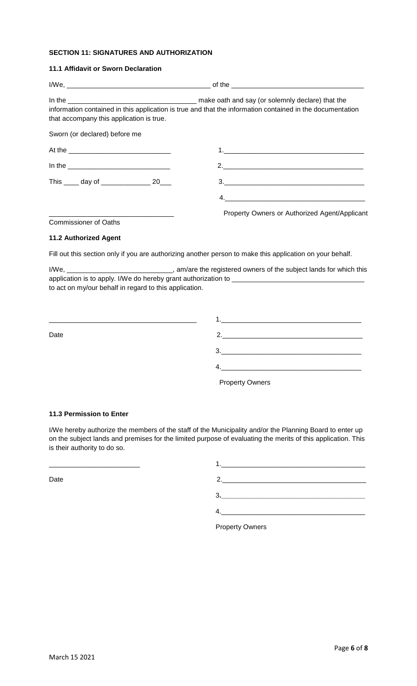### **SECTION 11: SIGNATURES AND AUTHORIZATION**

### **11.1 Affidavit or Sworn Declaration**

| that accompany this application is true.         | information contained in this application is true and that the information contained in the documentation |
|--------------------------------------------------|-----------------------------------------------------------------------------------------------------------|
| Sworn (or declared) before me                    |                                                                                                           |
|                                                  |                                                                                                           |
| In the <u>______________________________</u>     | 2.                                                                                                        |
| This ______ day of ______________________ 20____ |                                                                                                           |
|                                                  |                                                                                                           |
|                                                  | Property Owners or Authorized Agent/Applicant                                                             |
| <b>Commissioner of Oaths</b>                     |                                                                                                           |
| <b>11.2 Authorized Agent</b>                     |                                                                                                           |
|                                                  | Fill out this section only if you are authorizing another person to make this application on your behalf. |

I/We, \_\_\_\_\_\_\_\_\_\_\_\_\_\_\_\_\_\_\_\_\_\_\_\_\_\_\_\_\_\_\_\_, am/are the registered owners of the subject lands for which this application is to apply. I/We do hereby grant authorization to \_\_\_\_\_\_\_\_\_\_\_\_\_\_\_\_\_ to act on my/our behalf in regard to this application.

| Date |  |
|------|--|
|      |  |
|      |  |
|      |  |

Property Owners

#### **11.3 Permission to Enter**

I/We hereby authorize the members of the staff of the Municipality and/or the Planning Board to enter up on the subject lands and premises for the limited purpose of evaluating the merits of this application. This is their authority to do so.

| Date |    |
|------|----|
|      | 3. |
|      |    |
|      |    |

Property Owners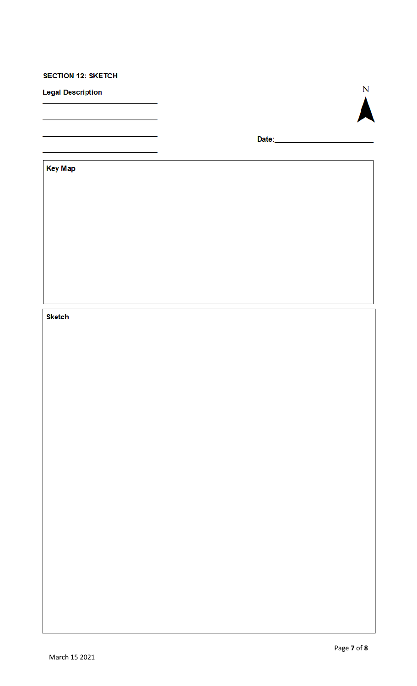## **SECTION 12: SKETCH**

**Legal Description** 



**Key Map** 

## **Sketch**